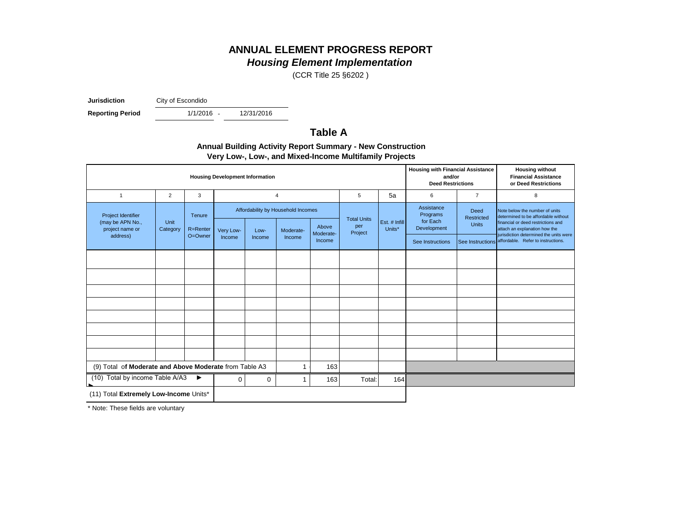# **ANNUAL ELEMENT PROGRESS REPORT**

*Housing Element Implementation*

(CCR Title 25 §6202 )

**Jurisdiction** City of Escondido

**Reporting Period** 

1/1/2016 -

12/31/2016

## **Table A**

| <b>Annual Building Activity Report Summary - New Construction</b> |
|-------------------------------------------------------------------|
| Very Low-, Low-, and Mixed-Income Multifamily Projects            |

| <b>Housing Development Information</b>                    |                  |                    |           |        |                                                 |                    |                                      |                         |                                                   | <b>Housing with Financial Assistance</b><br>and/or<br><b>Deed Restrictions</b> | <b>Housing without</b><br><b>Financial Assistance</b><br>or Deed Restrictions                                                                |
|-----------------------------------------------------------|------------------|--------------------|-----------|--------|-------------------------------------------------|--------------------|--------------------------------------|-------------------------|---------------------------------------------------|--------------------------------------------------------------------------------|----------------------------------------------------------------------------------------------------------------------------------------------|
| $\mathbf{1}$                                              | 2                | 3                  |           |        | 4                                               |                    | 5                                    | 5a                      | 6                                                 | $\overline{7}$                                                                 | 8                                                                                                                                            |
| Project Identifier<br>(may be APN No.,<br>project name or | Unit<br>Category | Tenure<br>R=Renter | Very Low- | Low-   | Affordability by Household Incomes<br>Moderate- | Above<br>Moderate- | <b>Total Units</b><br>per<br>Project | Est. # Infill<br>Units* | Assistance<br>Programs<br>for Each<br>Development | Deed<br>Restricted<br><b>Units</b>                                             | Note below the number of units<br>determined to be affordable without<br>financial or deed restrictions and<br>attach an explanation how the |
| address)                                                  |                  | O=Owner            | Income    | Income | Income                                          | Income             |                                      |                         | See Instructions                                  |                                                                                | jurisdiction determined the units were<br>See Instructions affordable. Refer to instructions.                                                |
|                                                           |                  |                    |           |        |                                                 |                    |                                      |                         |                                                   |                                                                                |                                                                                                                                              |
|                                                           |                  |                    |           |        |                                                 |                    |                                      |                         |                                                   |                                                                                |                                                                                                                                              |
|                                                           |                  |                    |           |        |                                                 |                    |                                      |                         |                                                   |                                                                                |                                                                                                                                              |
|                                                           |                  |                    |           |        |                                                 |                    |                                      |                         |                                                   |                                                                                |                                                                                                                                              |
|                                                           |                  |                    |           |        |                                                 |                    |                                      |                         |                                                   |                                                                                |                                                                                                                                              |
|                                                           |                  |                    |           |        |                                                 |                    |                                      |                         |                                                   |                                                                                |                                                                                                                                              |
|                                                           |                  |                    |           |        |                                                 |                    |                                      |                         |                                                   |                                                                                |                                                                                                                                              |
|                                                           |                  |                    |           |        |                                                 |                    |                                      |                         |                                                   |                                                                                |                                                                                                                                              |
| (9) Total of Moderate and Above Moderate from Table A3    |                  |                    |           |        | 163                                             |                    |                                      |                         |                                                   |                                                                                |                                                                                                                                              |
| (10) Total by income Table A/A3<br>▶<br>0<br>0            |                  |                    |           | 163    | Total:                                          | 164                |                                      |                         |                                                   |                                                                                |                                                                                                                                              |
| (11) Total Extremely Low-Income Units*                    |                  |                    |           |        |                                                 |                    |                                      |                         |                                                   |                                                                                |                                                                                                                                              |

\* Note: These fields are voluntary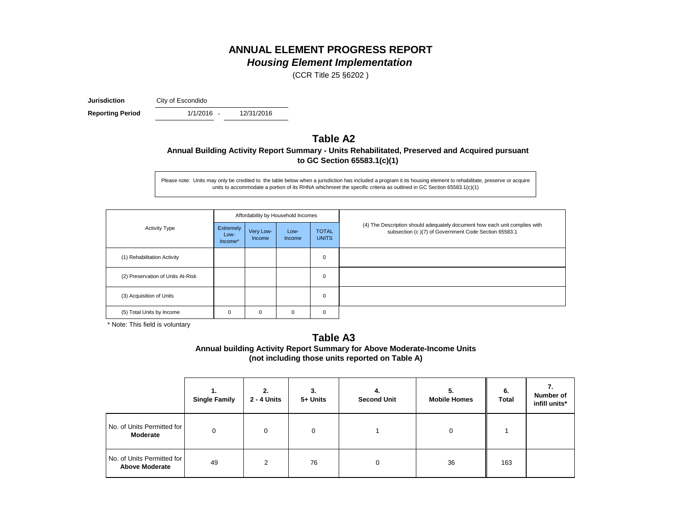## **ANNUAL ELEMENT PROGRESS REPORT** *Housing Element Implementation*

(CCR Title 25 §6202 )

**Jurisdiction** City of Escondido

1/1/2016 -**Reporting Period** 1/1/2016 - 12/31/2016

## **Table A2 Annual Building Activity Report Summary - Units Rehabilitated, Preserved and Acquired pursuant to GC Section 65583.1(c)(1)**

Please note: Units may only be credited to the table below when a jurisdiction has included a program it its housing element to rehabilitate, preserve or acquire units to accommodate a portion of its RHNA whichmeet the specific criteria as outlined in GC Section 65583.1(c)(1)

|                                   |                              |                     | Affordability by Household Incomes |                              |                                                                                                                                    |
|-----------------------------------|------------------------------|---------------------|------------------------------------|------------------------------|------------------------------------------------------------------------------------------------------------------------------------|
| <b>Activity Type</b>              | Extremely<br>Low-<br>Income* | Very Low-<br>Income | Low-<br><b>Income</b>              | <b>TOTAL</b><br><b>UNITS</b> | (4) The Description should adequately document how each unit complies with<br>subsection (c)(7) of Government Code Section 65583.1 |
| (1) Rehabilitation Activity       |                              |                     |                                    | $\mathbf 0$                  |                                                                                                                                    |
| (2) Preservation of Units At-Risk |                              |                     |                                    | $\mathbf 0$                  |                                                                                                                                    |
| (3) Acquisition of Units          |                              |                     |                                    | $\mathbf 0$                  |                                                                                                                                    |
| (5) Total Units by Income         | 0                            | 0                   | 0                                  | 0                            |                                                                                                                                    |

\* Note: This field is voluntary

### **Annual building Activity Report Summary for Above Moderate-Income Units (not including those units reported on Table A) Table A3**

|                                                     | ι.<br><b>Single Family</b> | 2.<br>2 - 4 Units | 3.<br>5+ Units | 4.<br><b>Second Unit</b> | 5.<br><b>Mobile Homes</b> | 6.<br>Total | Number of<br>infill units* |
|-----------------------------------------------------|----------------------------|-------------------|----------------|--------------------------|---------------------------|-------------|----------------------------|
| No. of Units Permitted for<br>Moderate              | $\Omega$                   | $\Omega$          | 0              |                          | 0                         |             |                            |
| No. of Units Permitted for<br><b>Above Moderate</b> | 49                         | 2                 | 76             |                          | 36                        | 163         |                            |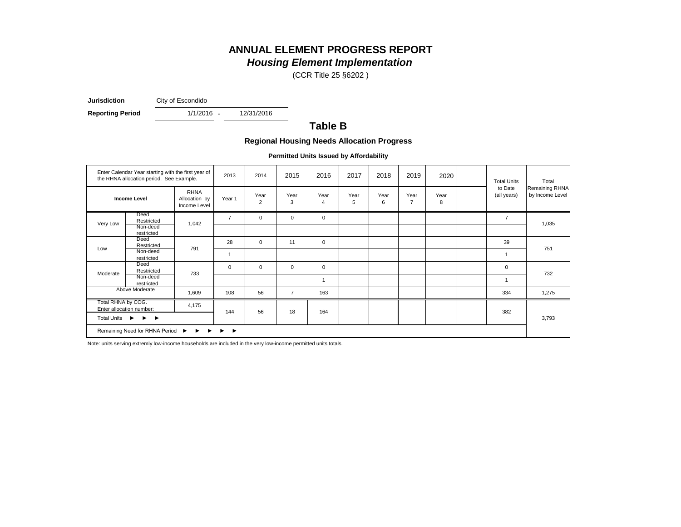# **ANNUAL ELEMENT PROGRESS REPORT**

## *Housing Element Implementation*

(CCR Title 25 §6202 )

**Jurisdiction** City of Escondido

**Reporting Period** 1/1/2016 - 12/31/2016

1/1/2016 -

## **Table B**

#### **Regional Housing Needs Allocation Progress**

**Permitted Units Issued by Affordability**

|                                                       | Enter Calendar Year starting with the first year of<br>the RHNA allocation period. See Example. |                                              | 2013                       | 2014                   | 2015           | 2016           | 2017      | 2018      | 2019                   | 2020      | <b>Total Units</b>     | Total                             |
|-------------------------------------------------------|-------------------------------------------------------------------------------------------------|----------------------------------------------|----------------------------|------------------------|----------------|----------------|-----------|-----------|------------------------|-----------|------------------------|-----------------------------------|
|                                                       | <b>Income Level</b>                                                                             | <b>RHNA</b><br>Allocation by<br>Income Level | Year 1                     | Year<br>$\overline{2}$ | Year<br>3      | Year<br>4      | Year<br>5 | Year<br>6 | Year<br>$\overline{7}$ | Year<br>8 | to Date<br>(all years) | Remaining RHNA<br>by Income Level |
| Very Low                                              | Deed<br>Restricted<br>Non-deed                                                                  | 1,042                                        | $\overline{7}$             | $\mathbf 0$            | $\mathbf 0$    | $\mathbf 0$    |           |           |                        |           | $\overline{7}$         | 1,035                             |
|                                                       | restricted                                                                                      |                                              |                            |                        |                |                |           |           |                        |           |                        |                                   |
| Low                                                   | Deed<br>Restricted                                                                              | 791                                          | 28                         | $\mathbf 0$            | 11             | $\mathbf{0}$   |           |           |                        |           | 39                     | 751                               |
|                                                       | Non-deed<br>restricted                                                                          |                                              |                            |                        |                |                |           |           |                        |           |                        |                                   |
| Moderate                                              | Deed<br>Restricted                                                                              | 733                                          | $\mathbf 0$                | $\mathbf 0$            | $\mathbf 0$    | $\mathbf 0$    |           |           |                        |           | $\mathbf 0$            | 732                               |
|                                                       | Non-deed<br>restricted                                                                          |                                              |                            |                        |                | $\overline{1}$ |           |           |                        |           |                        |                                   |
|                                                       | Above Moderate                                                                                  | 1,609                                        | 108                        | 56                     | $\overline{7}$ | 163            |           |           |                        |           | 334                    | 1,275                             |
| Total RHNA by COG.                                    | Enter allocation number:                                                                        | 4,175                                        | 144                        | 56                     | 18             | 164            |           |           |                        |           | 382                    |                                   |
| Total Units $\rightarrow$ $\rightarrow$ $\rightarrow$ |                                                                                                 |                                              |                            |                        |                |                |           |           |                        |           |                        | 3,793                             |
|                                                       | Remaining Need for RHNA Period ▶ ▶ ▶                                                            |                                              | $\blacktriangleright$<br>▸ |                        |                |                |           |           |                        |           |                        |                                   |

Note: units serving extremly low-income households are included in the very low-income permitted units totals.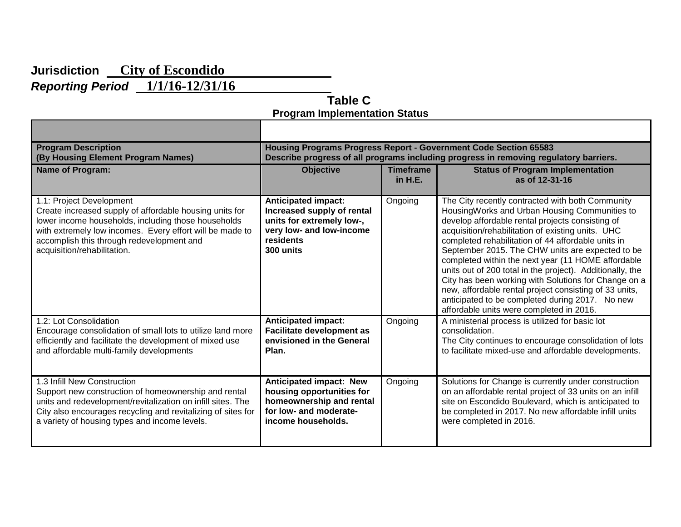# **Jurisdiction City of Escondido**  *Reporting Period* **1/1/16-12/31/16**

 **Table C Program Implementation Status**

| <b>Program Description</b>                                                                                                                                                                                                                                                         | <b>Housing Programs Progress Report - Government Code Section 65583</b>                                                                     |                               |                                                                                                                                                                                                                                                                                                                                                                                                                                                                                                                                                                                                                                                          |  |  |  |  |
|------------------------------------------------------------------------------------------------------------------------------------------------------------------------------------------------------------------------------------------------------------------------------------|---------------------------------------------------------------------------------------------------------------------------------------------|-------------------------------|----------------------------------------------------------------------------------------------------------------------------------------------------------------------------------------------------------------------------------------------------------------------------------------------------------------------------------------------------------------------------------------------------------------------------------------------------------------------------------------------------------------------------------------------------------------------------------------------------------------------------------------------------------|--|--|--|--|
| (By Housing Element Program Names)                                                                                                                                                                                                                                                 | Describe progress of all programs including progress in removing regulatory barriers.                                                       |                               |                                                                                                                                                                                                                                                                                                                                                                                                                                                                                                                                                                                                                                                          |  |  |  |  |
| Name of Program:                                                                                                                                                                                                                                                                   | <b>Objective</b>                                                                                                                            | <b>Timeframe</b><br>in $H.E.$ | <b>Status of Program Implementation</b><br>as of 12-31-16                                                                                                                                                                                                                                                                                                                                                                                                                                                                                                                                                                                                |  |  |  |  |
| 1.1: Project Development<br>Create increased supply of affordable housing units for<br>lower income households, including those households<br>with extremely low incomes. Every effort will be made to<br>accomplish this through redevelopment and<br>acquisition/rehabilitation. | <b>Anticipated impact:</b><br>Increased supply of rental<br>units for extremely low-,<br>very low- and low-income<br>residents<br>300 units | Ongoing                       | The City recently contracted with both Community<br>HousingWorks and Urban Housing Communities to<br>develop affordable rental projects consisting of<br>acquisition/rehabilitation of existing units. UHC<br>completed rehabilitation of 44 affordable units in<br>September 2015. The CHW units are expected to be<br>completed within the next year (11 HOME affordable<br>units out of 200 total in the project). Additionally, the<br>City has been working with Solutions for Change on a<br>new, affordable rental project consisting of 33 units,<br>anticipated to be completed during 2017. No new<br>affordable units were completed in 2016. |  |  |  |  |
| 1.2: Lot Consolidation                                                                                                                                                                                                                                                             | <b>Anticipated impact:</b>                                                                                                                  | Ongoing                       | A ministerial process is utilized for basic lot                                                                                                                                                                                                                                                                                                                                                                                                                                                                                                                                                                                                          |  |  |  |  |
| Encourage consolidation of small lots to utilize land more                                                                                                                                                                                                                         | <b>Facilitate development as</b>                                                                                                            |                               | consolidation.                                                                                                                                                                                                                                                                                                                                                                                                                                                                                                                                                                                                                                           |  |  |  |  |
| efficiently and facilitate the development of mixed use                                                                                                                                                                                                                            | envisioned in the General                                                                                                                   |                               | The City continues to encourage consolidation of lots                                                                                                                                                                                                                                                                                                                                                                                                                                                                                                                                                                                                    |  |  |  |  |
| and affordable multi-family developments                                                                                                                                                                                                                                           | Plan.                                                                                                                                       |                               | to facilitate mixed-use and affordable developments.                                                                                                                                                                                                                                                                                                                                                                                                                                                                                                                                                                                                     |  |  |  |  |
| 1.3 Infill New Construction                                                                                                                                                                                                                                                        | <b>Anticipated impact: New</b>                                                                                                              | Ongoing                       | Solutions for Change is currently under construction                                                                                                                                                                                                                                                                                                                                                                                                                                                                                                                                                                                                     |  |  |  |  |
| Support new construction of homeownership and rental                                                                                                                                                                                                                               | housing opportunities for                                                                                                                   |                               | on an affordable rental project of 33 units on an infill                                                                                                                                                                                                                                                                                                                                                                                                                                                                                                                                                                                                 |  |  |  |  |
| units and redevelopment/revitalization on infill sites. The                                                                                                                                                                                                                        | homeownership and rental                                                                                                                    |                               | site on Escondido Boulevard, which is anticipated to                                                                                                                                                                                                                                                                                                                                                                                                                                                                                                                                                                                                     |  |  |  |  |
| City also encourages recycling and revitalizing of sites for                                                                                                                                                                                                                       | for low- and moderate-                                                                                                                      |                               | be completed in 2017. No new affordable infill units                                                                                                                                                                                                                                                                                                                                                                                                                                                                                                                                                                                                     |  |  |  |  |
| a variety of housing types and income levels.                                                                                                                                                                                                                                      | income households.                                                                                                                          |                               | were completed in 2016.                                                                                                                                                                                                                                                                                                                                                                                                                                                                                                                                                                                                                                  |  |  |  |  |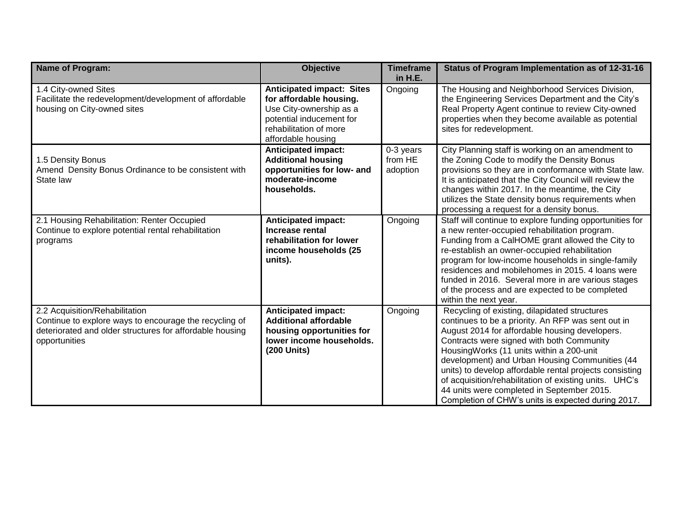| <b>Name of Program:</b>                                                                                                                                               | <b>Objective</b>                                                                                                                                                   | <b>Timeframe</b><br>in H.E.      | Status of Program Implementation as of 12-31-16                                                                                                                                                                                                                                                                                                                                                                                                                                                                           |
|-----------------------------------------------------------------------------------------------------------------------------------------------------------------------|--------------------------------------------------------------------------------------------------------------------------------------------------------------------|----------------------------------|---------------------------------------------------------------------------------------------------------------------------------------------------------------------------------------------------------------------------------------------------------------------------------------------------------------------------------------------------------------------------------------------------------------------------------------------------------------------------------------------------------------------------|
| 1.4 City-owned Sites<br>Facilitate the redevelopment/development of affordable<br>housing on City-owned sites                                                         | <b>Anticipated impact: Sites</b><br>for affordable housing.<br>Use City-ownership as a<br>potential inducement for<br>rehabilitation of more<br>affordable housing | Ongoing                          | The Housing and Neighborhood Services Division,<br>the Engineering Services Department and the City's<br>Real Property Agent continue to review City-owned<br>properties when they become available as potential<br>sites for redevelopment.                                                                                                                                                                                                                                                                              |
| 1.5 Density Bonus<br>Amend Density Bonus Ordinance to be consistent with<br>State law                                                                                 | <b>Anticipated impact:</b><br><b>Additional housing</b><br>opportunities for low- and<br>moderate-income<br>households.                                            | 0-3 years<br>from HE<br>adoption | City Planning staff is working on an amendment to<br>the Zoning Code to modify the Density Bonus<br>provisions so they are in conformance with State law.<br>It is anticipated that the City Council will review the<br>changes within 2017. In the meantime, the City<br>utilizes the State density bonus requirements when<br>processing a request for a density bonus.                                                                                                                                                 |
| 2.1 Housing Rehabilitation: Renter Occupied<br>Continue to explore potential rental rehabilitation<br>programs                                                        | <b>Anticipated impact:</b><br>Increase rental<br>rehabilitation for lower<br>income households (25<br>units).                                                      | Ongoing                          | Staff will continue to explore funding opportunities for<br>a new renter-occupied rehabilitation program.<br>Funding from a CalHOME grant allowed the City to<br>re-establish an owner-occupied rehabilitation<br>program for low-income households in single-family<br>residences and mobilehomes in 2015, 4 loans were<br>funded in 2016. Several more in are various stages<br>of the process and are expected to be completed<br>within the next year.                                                                |
| 2.2 Acquisition/Rehabilitation<br>Continue to explore ways to encourage the recycling of<br>deteriorated and older structures for affordable housing<br>opportunities | <b>Anticipated impact:</b><br><b>Additional affordable</b><br>housing opportunities for<br>lower income households.<br>(200 Units)                                 | Ongoing                          | Recycling of existing, dilapidated structures<br>continues to be a priority. An RFP was sent out in<br>August 2014 for affordable housing developers.<br>Contracts were signed with both Community<br>HousingWorks (11 units within a 200-unit<br>development) and Urban Housing Communities (44<br>units) to develop affordable rental projects consisting<br>of acquisition/rehabilitation of existing units. UHC's<br>44 units were completed in September 2015.<br>Completion of CHW's units is expected during 2017. |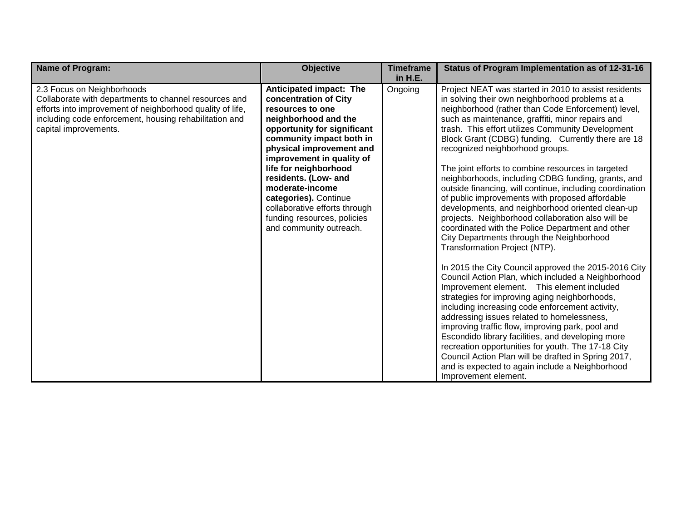| <b>Name of Program:</b>                                                                                                                                                                                                             | <b>Objective</b>                                                                                                                                                                                                                                                                                                                                                                                         | <b>Timeframe</b><br>in H.E. | Status of Program Implementation as of 12-31-16                                                                                                                                                                                                                                                                                                                                                                                                                                                                                                                                                                                                                                                                                                                                                                                                                                                                                                                                                                                                                                                                                                                                                                                                                                                                                                                                                                                                      |
|-------------------------------------------------------------------------------------------------------------------------------------------------------------------------------------------------------------------------------------|----------------------------------------------------------------------------------------------------------------------------------------------------------------------------------------------------------------------------------------------------------------------------------------------------------------------------------------------------------------------------------------------------------|-----------------------------|------------------------------------------------------------------------------------------------------------------------------------------------------------------------------------------------------------------------------------------------------------------------------------------------------------------------------------------------------------------------------------------------------------------------------------------------------------------------------------------------------------------------------------------------------------------------------------------------------------------------------------------------------------------------------------------------------------------------------------------------------------------------------------------------------------------------------------------------------------------------------------------------------------------------------------------------------------------------------------------------------------------------------------------------------------------------------------------------------------------------------------------------------------------------------------------------------------------------------------------------------------------------------------------------------------------------------------------------------------------------------------------------------------------------------------------------------|
| 2.3 Focus on Neighborhoods<br>Collaborate with departments to channel resources and<br>efforts into improvement of neighborhood quality of life,<br>including code enforcement, housing rehabilitation and<br>capital improvements. | Anticipated impact: The<br>concentration of City<br>resources to one<br>neighborhood and the<br>opportunity for significant<br>community impact both in<br>physical improvement and<br>improvement in quality of<br>life for neighborhood<br>residents. (Low- and<br>moderate-income<br>categories). Continue<br>collaborative efforts through<br>funding resources, policies<br>and community outreach. | Ongoing                     | Project NEAT was started in 2010 to assist residents<br>in solving their own neighborhood problems at a<br>neighborhood (rather than Code Enforcement) level,<br>such as maintenance, graffiti, minor repairs and<br>trash. This effort utilizes Community Development<br>Block Grant (CDBG) funding. Currently there are 18<br>recognized neighborhood groups.<br>The joint efforts to combine resources in targeted<br>neighborhoods, including CDBG funding, grants, and<br>outside financing, will continue, including coordination<br>of public improvements with proposed affordable<br>developments, and neighborhood oriented clean-up<br>projects. Neighborhood collaboration also will be<br>coordinated with the Police Department and other<br>City Departments through the Neighborhood<br>Transformation Project (NTP).<br>In 2015 the City Council approved the 2015-2016 City<br>Council Action Plan, which included a Neighborhood<br>Improvement element. This element included<br>strategies for improving aging neighborhoods,<br>including increasing code enforcement activity,<br>addressing issues related to homelessness,<br>improving traffic flow, improving park, pool and<br>Escondido library facilities, and developing more<br>recreation opportunities for youth. The 17-18 City<br>Council Action Plan will be drafted in Spring 2017,<br>and is expected to again include a Neighborhood<br>Improvement element. |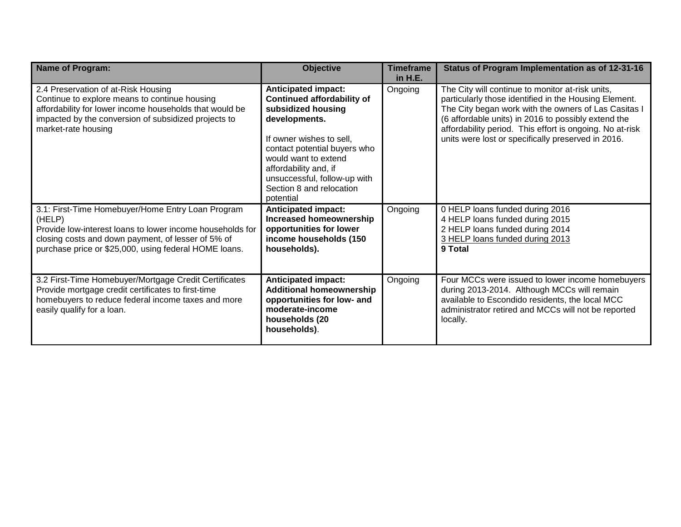| <b>Name of Program:</b>                                                                                                                                                                                                                 | <b>Objective</b>                                                                                                                                                                                                                                                                             | <b>Timeframe</b><br>in $H.E.$ | Status of Program Implementation as of 12-31-16                                                                                                                                                                                                                                                                                            |
|-----------------------------------------------------------------------------------------------------------------------------------------------------------------------------------------------------------------------------------------|----------------------------------------------------------------------------------------------------------------------------------------------------------------------------------------------------------------------------------------------------------------------------------------------|-------------------------------|--------------------------------------------------------------------------------------------------------------------------------------------------------------------------------------------------------------------------------------------------------------------------------------------------------------------------------------------|
| 2.4 Preservation of at-Risk Housing<br>Continue to explore means to continue housing<br>affordability for lower income households that would be<br>impacted by the conversion of subsidized projects to<br>market-rate housing          | <b>Anticipated impact:</b><br><b>Continued affordability of</b><br>subsidized housing<br>developments.<br>If owner wishes to sell,<br>contact potential buyers who<br>would want to extend<br>affordability and, if<br>unsuccessful, follow-up with<br>Section 8 and relocation<br>potential | Ongoing                       | The City will continue to monitor at-risk units,<br>particularly those identified in the Housing Element.<br>The City began work with the owners of Las Casitas I<br>(6 affordable units) in 2016 to possibly extend the<br>affordability period. This effort is ongoing. No at-risk<br>units were lost or specifically preserved in 2016. |
| 3.1: First-Time Homebuyer/Home Entry Loan Program<br>(HELP)<br>Provide low-interest loans to lower income households for<br>closing costs and down payment, of lesser of 5% of<br>purchase price or \$25,000, using federal HOME loans. | <b>Anticipated impact:</b><br>Increased homeownership<br>opportunities for lower<br>income households (150<br>households).                                                                                                                                                                   | Ongoing                       | 0 HELP loans funded during 2016<br>4 HELP loans funded during 2015<br>2 HELP loans funded during 2014<br>3 HELP loans funded during 2013<br>9 Total                                                                                                                                                                                        |
| 3.2 First-Time Homebuyer/Mortgage Credit Certificates<br>Provide mortgage credit certificates to first-time<br>homebuyers to reduce federal income taxes and more<br>easily qualify for a loan.                                         | <b>Anticipated impact:</b><br><b>Additional homeownership</b><br>opportunities for low- and<br>moderate-income<br>households (20<br>households).                                                                                                                                             | Ongoing                       | Four MCCs were issued to lower income homebuyers<br>during 2013-2014. Although MCCs will remain<br>available to Escondido residents, the local MCC<br>administrator retired and MCCs will not be reported<br>locally.                                                                                                                      |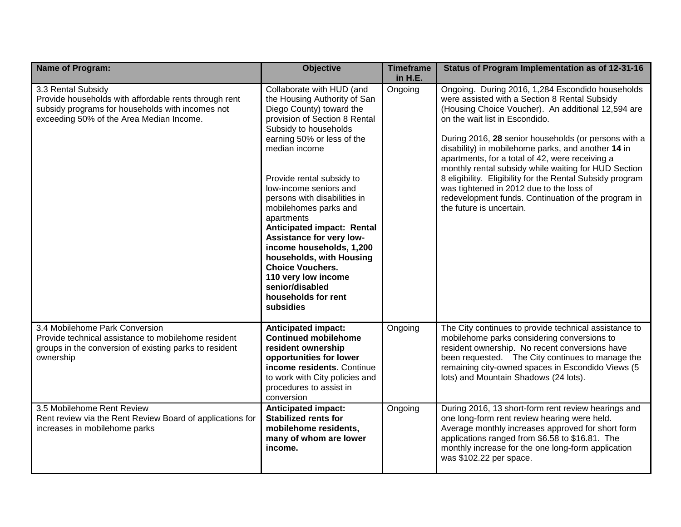| Name of Program:                                                                                                                                                            | <b>Objective</b>                                                                                                                                                                                                                                                                                                                                                                                                                                                                                                                                        | <b>Timeframe</b><br>in H.E. | Status of Program Implementation as of 12-31-16                                                                                                                                                                                                                                                                                                                                                                                                                                                                                                                                                                |
|-----------------------------------------------------------------------------------------------------------------------------------------------------------------------------|---------------------------------------------------------------------------------------------------------------------------------------------------------------------------------------------------------------------------------------------------------------------------------------------------------------------------------------------------------------------------------------------------------------------------------------------------------------------------------------------------------------------------------------------------------|-----------------------------|----------------------------------------------------------------------------------------------------------------------------------------------------------------------------------------------------------------------------------------------------------------------------------------------------------------------------------------------------------------------------------------------------------------------------------------------------------------------------------------------------------------------------------------------------------------------------------------------------------------|
| 3.3 Rental Subsidy<br>Provide households with affordable rents through rent<br>subsidy programs for households with incomes not<br>exceeding 50% of the Area Median Income. | Collaborate with HUD (and<br>the Housing Authority of San<br>Diego County) toward the<br>provision of Section 8 Rental<br>Subsidy to households<br>earning 50% or less of the<br>median income<br>Provide rental subsidy to<br>low-income seniors and<br>persons with disabilities in<br>mobilehomes parks and<br>apartments<br>Anticipated impact: Rental<br>Assistance for very low-<br>income households, 1,200<br>households, with Housing<br><b>Choice Vouchers.</b><br>110 very low income<br>senior/disabled<br>households for rent<br>subsidies | Ongoing                     | Ongoing. During 2016, 1,284 Escondido households<br>were assisted with a Section 8 Rental Subsidy<br>(Housing Choice Voucher). An additional 12,594 are<br>on the wait list in Escondido.<br>During 2016, 28 senior households (or persons with a<br>disability) in mobilehome parks, and another 14 in<br>apartments, for a total of 42, were receiving a<br>monthly rental subsidy while waiting for HUD Section<br>8 eligibility. Eligibility for the Rental Subsidy program<br>was tightened in 2012 due to the loss of<br>redevelopment funds. Continuation of the program in<br>the future is uncertain. |
| 3.4 Mobilehome Park Conversion<br>Provide technical assistance to mobilehome resident<br>groups in the conversion of existing parks to resident<br>ownership                | <b>Anticipated impact:</b><br><b>Continued mobilehome</b><br>resident ownership<br>opportunities for lower<br>income residents. Continue<br>to work with City policies and<br>procedures to assist in<br>conversion                                                                                                                                                                                                                                                                                                                                     | Ongoing                     | The City continues to provide technical assistance to<br>mobilehome parks considering conversions to<br>resident ownership. No recent conversions have<br>been requested. The City continues to manage the<br>remaining city-owned spaces in Escondido Views (5<br>lots) and Mountain Shadows (24 lots).                                                                                                                                                                                                                                                                                                       |
| 3.5 Mobilehome Rent Review<br>Rent review via the Rent Review Board of applications for<br>increases in mobilehome parks                                                    | <b>Anticipated impact:</b><br><b>Stabilized rents for</b><br>mobilehome residents,<br>many of whom are lower<br>income.                                                                                                                                                                                                                                                                                                                                                                                                                                 | Ongoing                     | During 2016, 13 short-form rent review hearings and<br>one long-form rent review hearing were held.<br>Average monthly increases approved for short form<br>applications ranged from \$6.58 to \$16.81. The<br>monthly increase for the one long-form application<br>was \$102.22 per space.                                                                                                                                                                                                                                                                                                                   |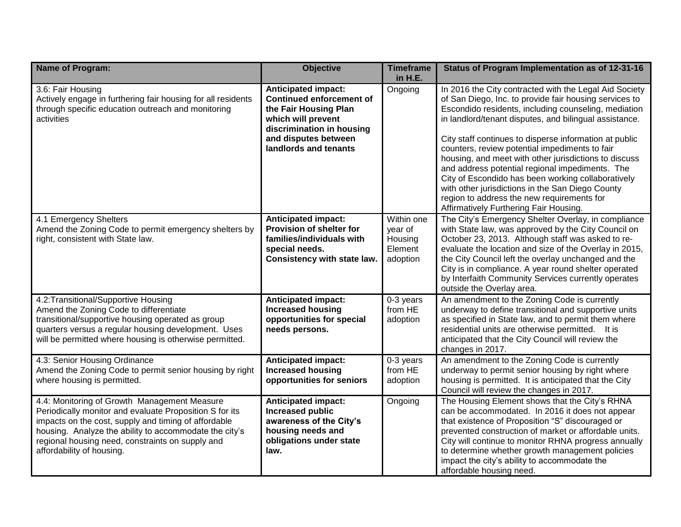| Name of Program:                                                                                                                                                                                                                                                                                           | <b>Objective</b>                                                                                                                                                                           | <b>Timeframe</b><br>in H.E.                             | Status of Program Implementation as of 12-31-16                                                                                                                                                                                                                                                                                                                                                                                                                                                                                                                                                                                                              |
|------------------------------------------------------------------------------------------------------------------------------------------------------------------------------------------------------------------------------------------------------------------------------------------------------------|--------------------------------------------------------------------------------------------------------------------------------------------------------------------------------------------|---------------------------------------------------------|--------------------------------------------------------------------------------------------------------------------------------------------------------------------------------------------------------------------------------------------------------------------------------------------------------------------------------------------------------------------------------------------------------------------------------------------------------------------------------------------------------------------------------------------------------------------------------------------------------------------------------------------------------------|
| 3.6: Fair Housing<br>Actively engage in furthering fair housing for all residents<br>through specific education outreach and monitoring<br>activities                                                                                                                                                      | <b>Anticipated impact:</b><br><b>Continued enforcement of</b><br>the Fair Housing Plan<br>which will prevent<br>discrimination in housing<br>and disputes between<br>landlords and tenants | Ongoing                                                 | In 2016 the City contracted with the Legal Aid Society<br>of San Diego, Inc. to provide fair housing services to<br>Escondido residents, including counseling, mediation<br>in landlord/tenant disputes, and bilingual assistance.<br>City staff continues to disperse information at public<br>counters, review potential impediments to fair<br>housing, and meet with other jurisdictions to discuss<br>and address potential regional impediments. The<br>City of Escondido has been working collaboratively<br>with other jurisdictions in the San Diego County<br>region to address the new requirements for<br>Affirmatively Furthering Fair Housing. |
| 4.1 Emergency Shelters<br>Amend the Zoning Code to permit emergency shelters by<br>right, consistent with State law.                                                                                                                                                                                       | <b>Anticipated impact:</b><br>Provision of shelter for<br>families/individuals with<br>special needs.<br><b>Consistency with state law.</b>                                                | Within one<br>year of<br>Housing<br>Element<br>adoption | The City's Emergency Shelter Overlay, in compliance<br>with State law, was approved by the City Council on<br>October 23, 2013. Although staff was asked to re-<br>evaluate the location and size of the Overlay in 2015,<br>the City Council left the overlay unchanged and the<br>City is in compliance. A year round shelter operated<br>by Interfaith Community Services currently operates<br>outside the Overlay area.                                                                                                                                                                                                                                 |
| 4.2: Transitional/Supportive Housing<br>Amend the Zoning Code to differentiate<br>transitional/supportive housing operated as group<br>quarters versus a regular housing development. Uses<br>will be permitted where housing is otherwise permitted.                                                      | <b>Anticipated impact:</b><br><b>Increased housing</b><br>opportunities for special<br>needs persons.                                                                                      | 0-3 years<br>from HE<br>adoption                        | An amendment to the Zoning Code is currently<br>underway to define transitional and supportive units<br>as specified in State law, and to permit them where<br>residential units are otherwise permitted. It is<br>anticipated that the City Council will review the<br>changes in 2017.                                                                                                                                                                                                                                                                                                                                                                     |
| 4.3: Senior Housing Ordinance<br>Amend the Zoning Code to permit senior housing by right<br>where housing is permitted.                                                                                                                                                                                    | <b>Anticipated impact:</b><br><b>Increased housing</b><br>opportunities for seniors                                                                                                        | 0-3 years<br>from HE<br>adoption                        | An amendment to the Zoning Code is currently<br>underway to permit senior housing by right where<br>housing is permitted. It is anticipated that the City<br>Council will review the changes in 2017.                                                                                                                                                                                                                                                                                                                                                                                                                                                        |
| 4.4: Monitoring of Growth Management Measure<br>Periodically monitor and evaluate Proposition S for its<br>impacts on the cost, supply and timing of affordable<br>housing. Analyze the ability to accommodate the city's<br>regional housing need, constraints on supply and<br>affordability of housing. | <b>Anticipated impact:</b><br><b>Increased public</b><br>awareness of the City's<br>housing needs and<br>obligations under state<br>law.                                                   | Ongoing                                                 | The Housing Element shows that the City's RHNA<br>can be accommodated. In 2016 it does not appear<br>that existence of Proposition "S" discouraged or<br>prevented construction of market or affordable units.<br>City will continue to monitor RHNA progress annually<br>to determine whether growth management policies<br>impact the city's ability to accommodate the<br>affordable housing need.                                                                                                                                                                                                                                                        |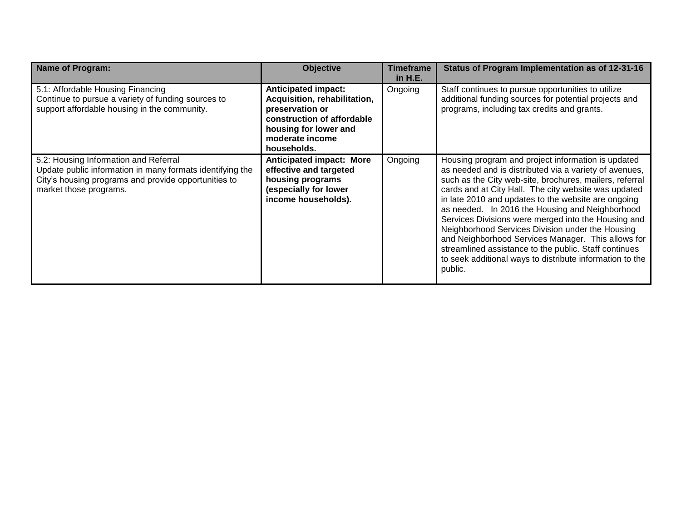| <b>Name of Program:</b>                                                                                                                                                              | <b>Objective</b>                                                                                                                                                       | <b>Timeframe</b><br>in H.E. | Status of Program Implementation as of 12-31-16                                                                                                                                                                                                                                                                                                                                                                                                                                                                                                                                                                                            |
|--------------------------------------------------------------------------------------------------------------------------------------------------------------------------------------|------------------------------------------------------------------------------------------------------------------------------------------------------------------------|-----------------------------|--------------------------------------------------------------------------------------------------------------------------------------------------------------------------------------------------------------------------------------------------------------------------------------------------------------------------------------------------------------------------------------------------------------------------------------------------------------------------------------------------------------------------------------------------------------------------------------------------------------------------------------------|
| 5.1: Affordable Housing Financing<br>Continue to pursue a variety of funding sources to<br>support affordable housing in the community.                                              | <b>Anticipated impact:</b><br>Acquisition, rehabilitation,<br>preservation or<br>construction of affordable<br>housing for lower and<br>moderate income<br>households. | Ongoing                     | Staff continues to pursue opportunities to utilize<br>additional funding sources for potential projects and<br>programs, including tax credits and grants.                                                                                                                                                                                                                                                                                                                                                                                                                                                                                 |
| 5.2: Housing Information and Referral<br>Update public information in many formats identifying the<br>City's housing programs and provide opportunities to<br>market those programs. | <b>Anticipated impact: More</b><br>effective and targeted<br>housing programs<br>(especially for lower<br>income households).                                          | Ongoing                     | Housing program and project information is updated<br>as needed and is distributed via a variety of avenues,<br>such as the City web-site, brochures, mailers, referral<br>cards and at City Hall. The city website was updated<br>in late 2010 and updates to the website are ongoing<br>as needed. In 2016 the Housing and Neighborhood<br>Services Divisions were merged into the Housing and<br>Neighborhood Services Division under the Housing<br>and Neighborhood Services Manager. This allows for<br>streamlined assistance to the public. Staff continues<br>to seek additional ways to distribute information to the<br>public. |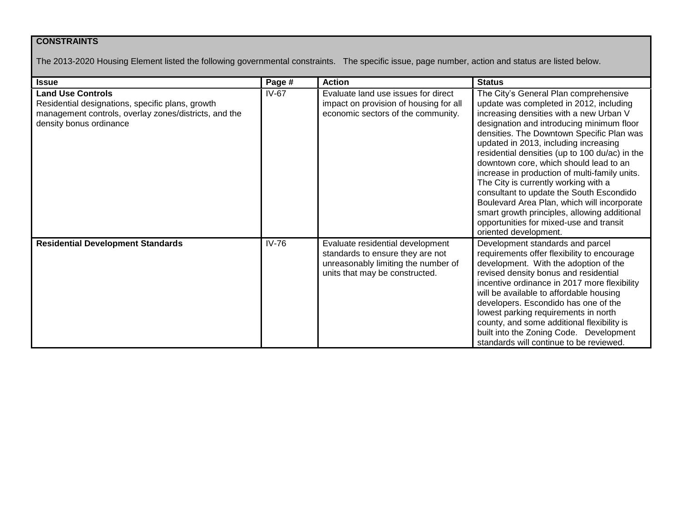## **CONSTRAINTS**

The 2013-2020 Housing Element listed the following governmental constraints. The specific issue, page number, action and status are listed below.

| <b>Issue</b>                                                                                                                                                     | Page #  | <b>Action</b>                                                                                                                                 | <b>Status</b>                                                                                                                                                                                                                                                                                                                                                                                                                                                                                                                                                                                                                                                      |
|------------------------------------------------------------------------------------------------------------------------------------------------------------------|---------|-----------------------------------------------------------------------------------------------------------------------------------------------|--------------------------------------------------------------------------------------------------------------------------------------------------------------------------------------------------------------------------------------------------------------------------------------------------------------------------------------------------------------------------------------------------------------------------------------------------------------------------------------------------------------------------------------------------------------------------------------------------------------------------------------------------------------------|
| <b>Land Use Controls</b><br>Residential designations, specific plans, growth<br>management controls, overlay zones/districts, and the<br>density bonus ordinance | $IV-67$ | Evaluate land use issues for direct<br>impact on provision of housing for all<br>economic sectors of the community.                           | The City's General Plan comprehensive<br>update was completed in 2012, including<br>increasing densities with a new Urban V<br>designation and introducing minimum floor<br>densities. The Downtown Specific Plan was<br>updated in 2013, including increasing<br>residential densities (up to 100 du/ac) in the<br>downtown core, which should lead to an<br>increase in production of multi-family units.<br>The City is currently working with a<br>consultant to update the South Escondido<br>Boulevard Area Plan, which will incorporate<br>smart growth principles, allowing additional<br>opportunities for mixed-use and transit<br>oriented development. |
| <b>Residential Development Standards</b>                                                                                                                         | $IV-76$ | Evaluate residential development<br>standards to ensure they are not<br>unreasonably limiting the number of<br>units that may be constructed. | Development standards and parcel<br>requirements offer flexibility to encourage<br>development. With the adoption of the<br>revised density bonus and residential<br>incentive ordinance in 2017 more flexibility<br>will be available to affordable housing<br>developers. Escondido has one of the<br>lowest parking requirements in north<br>county, and some additional flexibility is<br>built into the Zoning Code. Development<br>standards will continue to be reviewed.                                                                                                                                                                                   |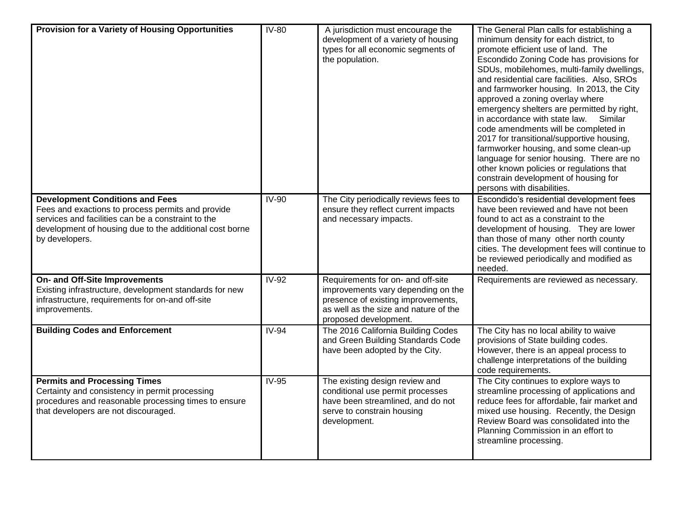| Provision for a Variety of Housing Opportunities                                                                                                                                                                               | <b>IV-80</b> | A jurisdiction must encourage the<br>development of a variety of housing<br>types for all economic segments of<br>the population.                                               | The General Plan calls for establishing a<br>minimum density for each district, to<br>promote efficient use of land. The<br>Escondido Zoning Code has provisions for<br>SDUs, mobilehomes, multi-family dwellings,<br>and residential care facilities. Also, SROs<br>and farmworker housing. In 2013, the City<br>approved a zoning overlay where<br>emergency shelters are permitted by right,<br>in accordance with state law.<br>Similar<br>code amendments will be completed in<br>2017 for transitional/supportive housing,<br>farmworker housing, and some clean-up<br>language for senior housing. There are no<br>other known policies or regulations that<br>constrain development of housing for<br>persons with disabilities. |
|--------------------------------------------------------------------------------------------------------------------------------------------------------------------------------------------------------------------------------|--------------|---------------------------------------------------------------------------------------------------------------------------------------------------------------------------------|------------------------------------------------------------------------------------------------------------------------------------------------------------------------------------------------------------------------------------------------------------------------------------------------------------------------------------------------------------------------------------------------------------------------------------------------------------------------------------------------------------------------------------------------------------------------------------------------------------------------------------------------------------------------------------------------------------------------------------------|
| <b>Development Conditions and Fees</b><br>Fees and exactions to process permits and provide<br>services and facilities can be a constraint to the<br>development of housing due to the additional cost borne<br>by developers. | <b>IV-90</b> | The City periodically reviews fees to<br>ensure they reflect current impacts<br>and necessary impacts.                                                                          | Escondido's residential development fees<br>have been reviewed and have not been<br>found to act as a constraint to the<br>development of housing. They are lower<br>than those of many other north county<br>cities. The development fees will continue to<br>be reviewed periodically and modified as<br>needed.                                                                                                                                                                                                                                                                                                                                                                                                                       |
| On- and Off-Site Improvements<br>Existing infrastructure, development standards for new<br>infrastructure, requirements for on-and off-site<br>improvements.                                                                   | <b>IV-92</b> | Requirements for on- and off-site<br>improvements vary depending on the<br>presence of existing improvements,<br>as well as the size and nature of the<br>proposed development. | Requirements are reviewed as necessary.                                                                                                                                                                                                                                                                                                                                                                                                                                                                                                                                                                                                                                                                                                  |
| <b>Building Codes and Enforcement</b>                                                                                                                                                                                          | <b>IV-94</b> | The 2016 California Building Codes<br>and Green Building Standards Code<br>have been adopted by the City.                                                                       | The City has no local ability to waive<br>provisions of State building codes.<br>However, there is an appeal process to<br>challenge interpretations of the building<br>code requirements.                                                                                                                                                                                                                                                                                                                                                                                                                                                                                                                                               |
| <b>Permits and Processing Times</b><br>Certainty and consistency in permit processing<br>procedures and reasonable processing times to ensure<br>that developers are not discouraged.                                          | <b>IV-95</b> | The existing design review and<br>conditional use permit processes<br>have been streamlined, and do not<br>serve to constrain housing<br>development.                           | The City continues to explore ways to<br>streamline processing of applications and<br>reduce fees for affordable, fair market and<br>mixed use housing. Recently, the Design<br>Review Board was consolidated into the<br>Planning Commission in an effort to<br>streamline processing.                                                                                                                                                                                                                                                                                                                                                                                                                                                  |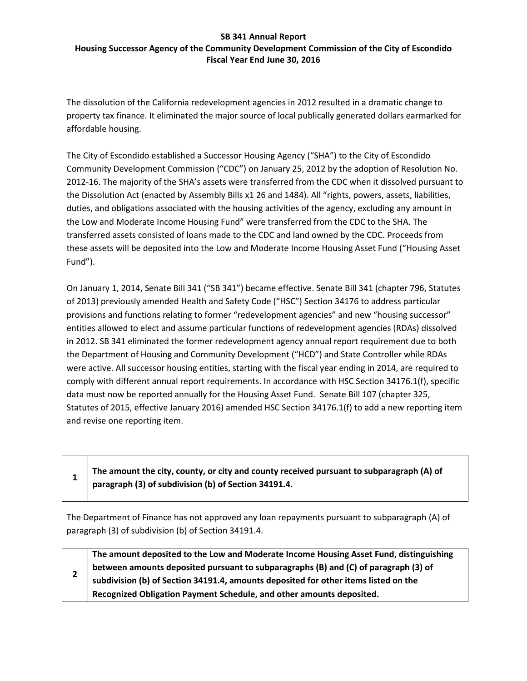#### **SB 341 Annual Report Housing Successor Agency of the Community Development Commission of the City of Escondido Fiscal Year End June 30, 2016**

The dissolution of the California redevelopment agencies in 2012 resulted in a dramatic change to property tax finance. It eliminated the major source of local publically generated dollars earmarked for affordable housing.

The City of Escondido established a Successor Housing Agency ("SHA") to the City of Escondido Community Development Commission ("CDC") on January 25, 2012 by the adoption of Resolution No. 2012-16. The majority of the SHA's assets were transferred from the CDC when it dissolved pursuant to the Dissolution Act (enacted by Assembly Bills x1 26 and 1484). All "rights, powers, assets, liabilities, duties, and obligations associated with the housing activities of the agency, excluding any amount in the Low and Moderate Income Housing Fund" were transferred from the CDC to the SHA. The transferred assets consisted of loans made to the CDC and land owned by the CDC. Proceeds from these assets will be deposited into the Low and Moderate Income Housing Asset Fund ("Housing Asset Fund").

On January 1, 2014, Senate Bill 341 ("SB 341") became effective. Senate Bill 341 (chapter 796, Statutes of 2013) previously amended Health and Safety Code ("HSC") Section 34176 to address particular provisions and functions relating to former "redevelopment agencies" and new "housing successor" entities allowed to elect and assume particular functions of redevelopment agencies (RDAs) dissolved in 2012. SB 341 eliminated the former redevelopment agency annual report requirement due to both the Department of Housing and Community Development ("HCD") and State Controller while RDAs were active. All successor housing entities, starting with the fiscal year ending in 2014, are required to comply with different annual report requirements. In accordance with HSC Section 34176.1(f), specific data must now be reported annually for the Housing Asset Fund. Senate Bill 107 (chapter 325, Statutes of 2015, effective January 2016) amended HSC Section 34176.1(f) to add a new reporting item and revise one reporting item.

|  | The amount the city, county, or city and county received pursuant to subparagraph (A) of |
|--|------------------------------------------------------------------------------------------|
|  | paragraph (3) of subdivision (b) of Section 34191.4.                                     |

 $\mathbf{I}$ 

The Department of Finance has not approved any loan repayments pursuant to subparagraph (A) of paragraph (3) of subdivision (b) of Section 34191.4.

|  | The amount deposited to the Low and Moderate Income Housing Asset Fund, distinguishing |
|--|----------------------------------------------------------------------------------------|
|  | between amounts deposited pursuant to subparagraphs (B) and (C) of paragraph (3) of    |
|  | subdivision (b) of Section 34191.4, amounts deposited for other items listed on the    |
|  | Recognized Obligation Payment Schedule, and other amounts deposited.                   |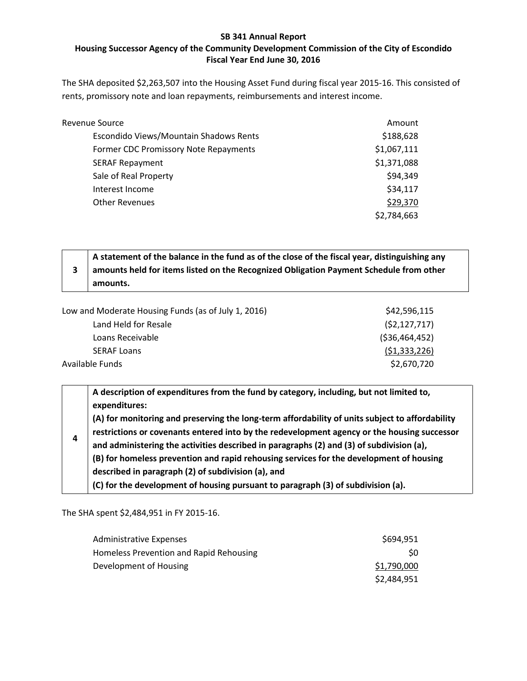## **SB 341 Annual Report Housing Successor Agency of the Community Development Commission of the City of Escondido Fiscal Year End June 30, 2016**

The SHA deposited \$2,263,507 into the Housing Asset Fund during fiscal year 2015-16. This consisted of rents, promissory note and loan repayments, reimbursements and interest income.

| <b>Revenue Source</b>                  | Amount      |
|----------------------------------------|-------------|
| Escondido Views/Mountain Shadows Rents | \$188,628   |
| Former CDC Promissory Note Repayments  | \$1,067,111 |
| <b>SERAF Repayment</b>                 | \$1,371,088 |
| Sale of Real Property                  | \$94,349    |
| Interest Income                        | \$34,117    |
| <b>Other Revenues</b>                  | \$29,370    |
|                                        | \$2,784,663 |

| A statement of the balance in the fund as of the close of the fiscal year, distinguishing any |
|-----------------------------------------------------------------------------------------------|
| amounts held for items listed on the Recognized Obligation Payment Schedule from other        |
| amounts.                                                                                      |

| Low and Moderate Housing Funds (as of July 1, 2016) | \$42,596,115    |
|-----------------------------------------------------|-----------------|
| Land Held for Resale                                | (52, 127, 717)  |
| Loans Receivable                                    | ( \$36,464,452) |
| <b>SERAF Loans</b>                                  | (51, 333, 226)  |
| Available Funds                                     | \$2,670,720     |

| 4 | A description of expenditures from the fund by category, including, but not limited to,<br>expenditures:                                                                                       |
|---|------------------------------------------------------------------------------------------------------------------------------------------------------------------------------------------------|
|   | (A) for monitoring and preserving the long-term affordability of units subject to affordability<br>restrictions or covenants entered into by the redevelopment agency or the housing successor |
|   | and administering the activities described in paragraphs (2) and (3) of subdivision (a),                                                                                                       |
|   | (B) for homeless prevention and rapid rehousing services for the development of housing                                                                                                        |
|   | described in paragraph (2) of subdivision (a), and                                                                                                                                             |
|   | (C) for the development of housing pursuant to paragraph (3) of subdivision (a).                                                                                                               |

The SHA spent \$2,484,951 in FY 2015-16.

| <b>Administrative Expenses</b>          | \$694,951   |
|-----------------------------------------|-------------|
| Homeless Prevention and Rapid Rehousing | SO.         |
| Development of Housing                  | \$1,790,000 |
|                                         | \$2,484,951 |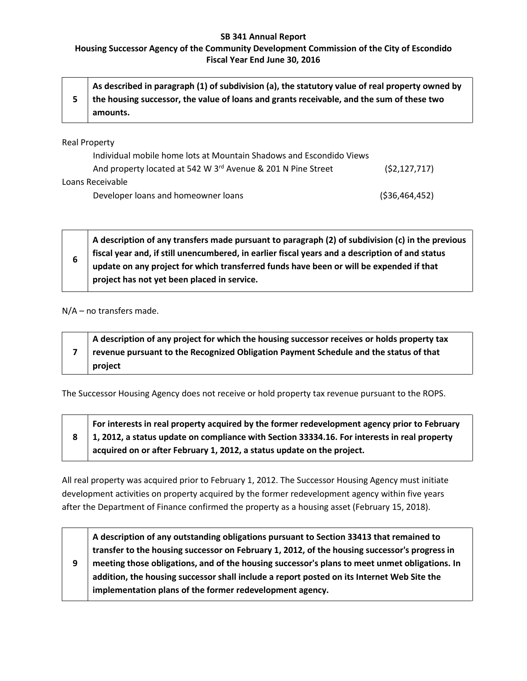### **SB 341 Annual Report**

## **Housing Successor Agency of the Community Development Commission of the City of Escondido Fiscal Year End June 30, 2016**

| $^{\dagger}$ As described in paragraph (1) of subdivision (a), the statutory value of real property owned by |
|--------------------------------------------------------------------------------------------------------------|
| the housing successor, the value of loans and grants receivable, and the sum of these two                    |
| amounts.                                                                                                     |

Real Property

| Individual mobile home lots at Mountain Shadows and Escondido Views |                 |  |
|---------------------------------------------------------------------|-----------------|--|
| And property located at 542 W 3rd Avenue & 201 N Pine Street        | (52, 127, 717)  |  |
| Loans Receivable                                                    |                 |  |
| Developer loans and homeowner loans                                 | ( \$36,464,452) |  |

**6 A description of any transfers made pursuant to paragraph (2) of subdivision (c) in the previous fiscal year and, if still unencumbered, in earlier fiscal years and a description of and status update on any project for which transferred funds have been or will be expended if that project has not yet been placed in service.**

N/A – no transfers made.

| A description of any project for which the housing successor receives or holds property tax |
|---------------------------------------------------------------------------------------------|
| revenue pursuant to the Recognized Obligation Payment Schedule and the status of that       |
| project                                                                                     |

The Successor Housing Agency does not receive or hold property tax revenue pursuant to the ROPS.

**8 For interests in real property acquired by the former redevelopment agency prior to February 1, 2012, a status update on compliance with Section 33334.16. For interests in real property acquired on or after February 1, 2012, a status update on the project.**

All real property was acquired prior to February 1, 2012. The Successor Housing Agency must initiate development activities on property acquired by the former redevelopment agency within five years after the Department of Finance confirmed the property as a housing asset (February 15, 2018).

**9 A description of any outstanding obligations pursuant to Section 33413 that remained to transfer to the housing successor on February 1, 2012, of the housing successor's progress in meeting those obligations, and of the housing successor's plans to meet unmet obligations. In addition, the housing successor shall include a report posted on its Internet Web Site the implementation plans of the former redevelopment agency.**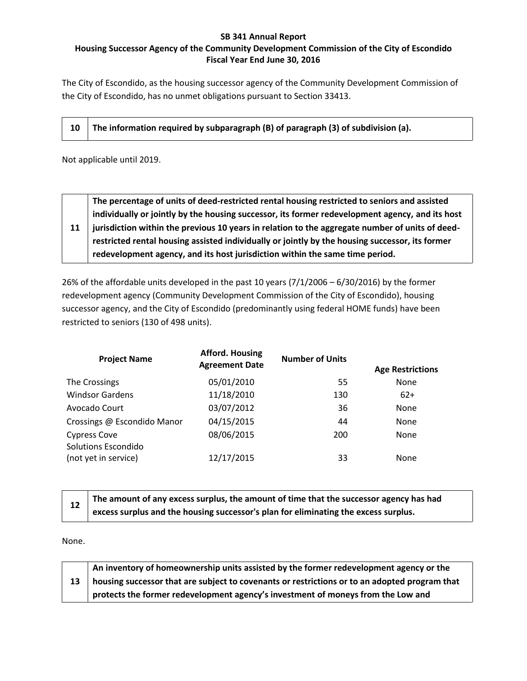## **SB 341 Annual Report Housing Successor Agency of the Community Development Commission of the City of Escondido Fiscal Year End June 30, 2016**

The City of Escondido, as the housing successor agency of the Community Development Commission of the City of Escondido, has no unmet obligations pursuant to Section 33413.

|  | $10$ The information required by subparagraph (B) of paragraph (3) of subdivision (a). |
|--|----------------------------------------------------------------------------------------|
|--|----------------------------------------------------------------------------------------|

Not applicable until 2019.

|    | The percentage of units of deed-restricted rental housing restricted to seniors and assisted    |
|----|-------------------------------------------------------------------------------------------------|
|    | individually or jointly by the housing successor, its former redevelopment agency, and its host |
| 11 | jurisdiction within the previous 10 years in relation to the aggregate number of units of deed- |
|    | restricted rental housing assisted individually or jointly by the housing successor, its former |
|    | redevelopment agency, and its host jurisdiction within the same time period.                    |

26% of the affordable units developed in the past 10 years (7/1/2006 – 6/30/2016) by the former redevelopment agency (Community Development Commission of the City of Escondido), housing successor agency, and the City of Escondido (predominantly using federal HOME funds) have been restricted to seniors (130 of 498 units).

| <b>Project Name</b>                               | <b>Afford. Housing</b><br><b>Agreement Date</b> | <b>Number of Units</b> | <b>Age Restrictions</b> |
|---------------------------------------------------|-------------------------------------------------|------------------------|-------------------------|
| The Crossings                                     | 05/01/2010                                      | 55                     | <b>None</b>             |
| <b>Windsor Gardens</b>                            | 11/18/2010                                      | 130                    | $62+$                   |
| Avocado Court                                     | 03/07/2012                                      | 36                     | <b>None</b>             |
| Crossings @ Escondido Manor                       | 04/15/2015                                      | 44                     | <b>None</b>             |
| <b>Cypress Cove</b><br><b>Solutions Escondido</b> | 08/06/2015                                      | 200                    | <b>None</b>             |
| (not yet in service)                              | 12/17/2015                                      | 33                     | <b>None</b>             |

|    | The amount of any excess surplus, the amount of time that the successor agency has had |
|----|----------------------------------------------------------------------------------------|
| 12 | excess surplus and the housing successor's plan for eliminating the excess surplus.    |

None.

|        | An inventory of homeownership units assisted by the former redevelopment agency or the        |
|--------|-----------------------------------------------------------------------------------------------|
| $13-1$ | housing successor that are subject to covenants or restrictions or to an adopted program that |
|        | protects the former redevelopment agency's investment of moneys from the Low and              |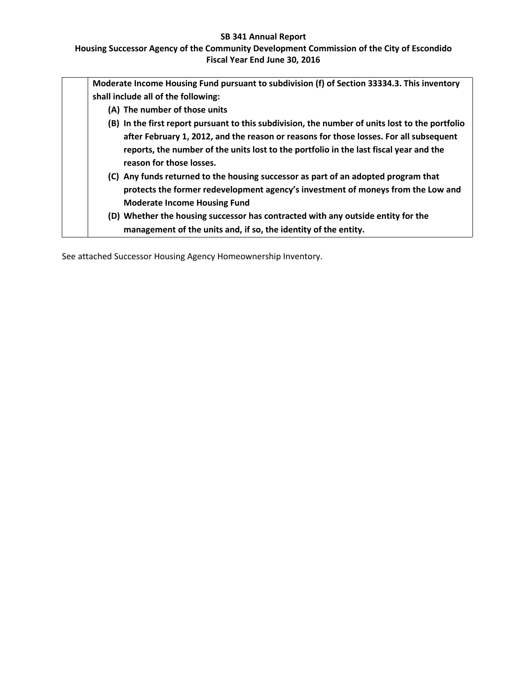### **SB 341 Annual Report**

## **Housing Successor Agency of the Community Development Commission of the City of Escondido Fiscal Year End June 30, 2016**

| Moderate Income Housing Fund pursuant to subdivision (f) of Section 33334.3. This inventory                                                                                                                  |
|--------------------------------------------------------------------------------------------------------------------------------------------------------------------------------------------------------------|
| shall include all of the following:                                                                                                                                                                          |
| (A) The number of those units                                                                                                                                                                                |
| (B) In the first report pursuant to this subdivision, the number of units lost to the portfolio                                                                                                              |
| after February 1, 2012, and the reason or reasons for those losses. For all subsequent<br>reports, the number of the units lost to the portfolio in the last fiscal year and the<br>reason for those losses. |
| (C) Any funds returned to the housing successor as part of an adopted program that<br>protects the former redevelopment agency's investment of moneys from the Low and                                       |
| <b>Moderate Income Housing Fund</b>                                                                                                                                                                          |
| (D) Whether the housing successor has contracted with any outside entity for the                                                                                                                             |
| management of the units and, if so, the identity of the entity.                                                                                                                                              |

See attached Successor Housing Agency Homeownership Inventory.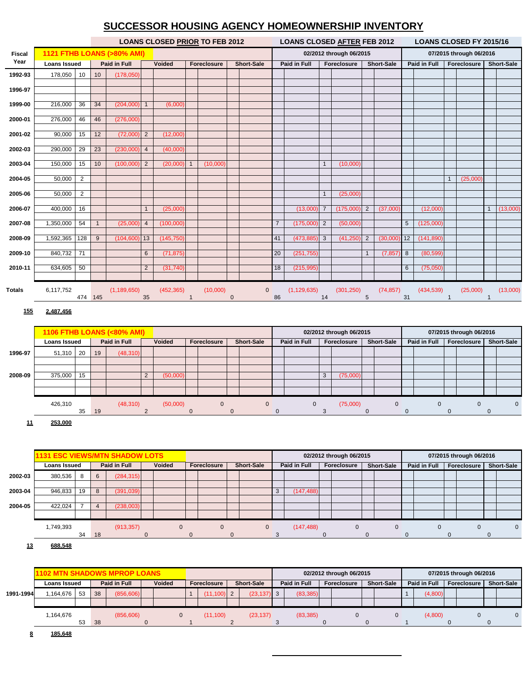## **SUCCESSOR HOUSING AGENCY HOMEOWNERSHIP INVENTORY**

|               |                            |                 |              |                                      |                | <b>LOANS CLOSED PRIOR TO FEB 2012</b> |                |                    |                   |                   |                | <b>LOANS CLOSED AFTER FEB 2012</b> |                         |                         |                   | <b>LOANS CLOSED FY 2015/16</b> |                  |            |                         |                         |              |                   |  |
|---------------|----------------------------|-----------------|--------------|--------------------------------------|----------------|---------------------------------------|----------------|--------------------|-------------------|-------------------|----------------|------------------------------------|-------------------------|-------------------------|-------------------|--------------------------------|------------------|------------|-------------------------|-------------------------|--------------|-------------------|--|
| <b>Fiscal</b> |                            |                 |              | <b>1121 FTHB LOANS (&gt;80% AMI)</b> |                |                                       |                |                    |                   |                   |                |                                    |                         | 02/2012 through 06/2015 |                   |                                |                  |            |                         | 07/2015 through 06/2016 |              |                   |  |
| Year          | <b>Loans Issued</b>        |                 |              | Paid in Full                         |                | Voided<br>Foreclosure                 |                |                    | <b>Short-Sale</b> |                   |                | Paid in Full                       |                         | Foreclosure             | <b>Short-Sale</b> |                                | Paid in Full     |            | Foreclosure             |                         |              | <b>Short-Sale</b> |  |
| 1992-93       | 178,050                    | 10              | 10           | (178,050)                            |                |                                       |                |                    |                   |                   |                |                                    |                         |                         |                   |                                |                  |            |                         |                         |              |                   |  |
| 1996-97       |                            |                 |              |                                      |                |                                       |                |                    |                   |                   |                |                                    |                         |                         |                   |                                |                  |            |                         |                         |              |                   |  |
|               |                            |                 |              |                                      |                |                                       |                |                    |                   |                   |                |                                    |                         |                         |                   |                                |                  |            |                         |                         |              |                   |  |
| 1999-00       | 216,000                    | 36              | 34           | (204,000)                            | $\mathbf{1}$   | (6,000)                               |                |                    |                   |                   |                |                                    |                         |                         |                   |                                |                  |            |                         |                         |              |                   |  |
| 2000-01       | 276,000                    | 46              | 46           | (276,000)                            |                |                                       |                |                    |                   |                   |                |                                    |                         |                         |                   |                                |                  |            |                         |                         |              |                   |  |
| 2001-02       | 90,000                     | 15              | 12           | (72,000)                             | $\overline{2}$ | (12,000)                              |                |                    |                   |                   |                |                                    |                         |                         |                   |                                |                  |            |                         |                         |              |                   |  |
|               |                            |                 |              |                                      |                |                                       |                |                    |                   |                   |                |                                    |                         |                         |                   |                                |                  |            |                         |                         |              |                   |  |
| 2002-03       | 290,000                    | 29              | 23           | (230,000)                            | $\overline{4}$ | (40,000)                              |                |                    |                   |                   |                |                                    |                         |                         |                   |                                |                  |            |                         |                         |              |                   |  |
| 2003-04       | 150,000                    | 15              | 10           | (100,000)                            | $\sqrt{2}$     | (20,000)                              | $\mathbf{1}$   | (10,000)           |                   |                   |                |                                    | $\mathbf{1}$            | (10,000)                |                   |                                |                  |            |                         |                         |              |                   |  |
|               |                            |                 |              |                                      |                |                                       |                |                    |                   |                   |                |                                    |                         |                         |                   |                                |                  |            |                         |                         |              |                   |  |
| 2004-05       | 50,000                     | 2               |              |                                      |                |                                       |                |                    |                   |                   |                |                                    |                         |                         |                   |                                |                  |            | $\mathbf{1}$            | (25,000)                |              |                   |  |
| 2005-06       | 50,000                     | $\overline{2}$  |              |                                      |                |                                       |                |                    |                   |                   |                |                                    | $\mathbf{1}$            | (25,000)                |                   |                                |                  |            |                         |                         |              |                   |  |
| 2006-07       | 400,000                    | 16              |              |                                      | $\mathbf{1}$   | (25,000)                              |                |                    |                   |                   |                | (13,000)                           | $\overline{7}$          | (175,000)               | $\overline{2}$    | (37,000)                       |                  | (12,000)   |                         |                         | $\mathbf{1}$ | (13,000)          |  |
|               |                            |                 |              |                                      |                |                                       |                |                    |                   |                   |                |                                    |                         |                         |                   |                                |                  |            |                         |                         |              |                   |  |
| 2007-08       | 1,350,000                  | 54              | $\mathbf{1}$ | (25,000)                             | $\overline{4}$ | (100,000)                             |                |                    |                   |                   | $\overline{7}$ | (175,000)                          | $\overline{2}$          | (50,000)                |                   |                                | $\overline{5}$   | (125,000)  |                         |                         |              |                   |  |
| 2008-09       | 1,592,365                  | 128             | 9            | (104, 600)                           | 13             | (145, 750)                            |                |                    |                   |                   | 41             | (473, 885)                         | 3                       | (41, 250)               | $\overline{2}$    | (30,000)                       | 12               | (141, 890) |                         |                         |              |                   |  |
| 2009-10       | 840,732                    | $\overline{71}$ |              |                                      | $6\phantom{1}$ | (71, 875)                             |                |                    |                   |                   | 20             | (251, 755)                         |                         |                         | $\mathbf{1}$      | (7, 857)                       | $\boldsymbol{8}$ | (80, 599)  |                         |                         |              |                   |  |
|               |                            |                 |              |                                      |                |                                       |                |                    |                   |                   |                |                                    |                         |                         |                   |                                |                  |            |                         |                         |              |                   |  |
| 2010-11       | 634,605                    | 50              |              |                                      | $\overline{2}$ | (31,740)                              |                |                    |                   |                   | 18             | (215, 995)                         |                         |                         |                   |                                | 6                | (75,050)   |                         |                         |              |                   |  |
|               |                            |                 |              |                                      |                |                                       |                |                    |                   |                   |                |                                    |                         |                         |                   |                                |                  |            |                         |                         |              |                   |  |
| <b>Totals</b> | 6,117,752                  | 474 145         |              | (1, 189, 650)                        | 35             | (452, 365)                            | $\overline{1}$ | (10,000)           | $\mathbf{0}$      | $\mathbf 0$       | 86             | (1, 129, 635)                      | 14                      | (301, 250)              | 5                 | (74, 857)                      | 31               | (434, 539) | $\mathbf{1}$            | (25,000)                |              | (13,000)          |  |
|               |                            |                 |              |                                      |                |                                       |                |                    |                   |                   |                |                                    |                         |                         |                   |                                |                  |            |                         |                         |              |                   |  |
| 155           | 2,487,456                  |                 |              |                                      |                |                                       |                |                    |                   |                   |                |                                    |                         |                         |                   |                                |                  |            |                         |                         |              |                   |  |
|               | 1106 FTHB LOANS (<80% AMI) |                 |              |                                      |                |                                       |                |                    |                   |                   |                |                                    | 02/2012 through 06/2015 |                         |                   |                                |                  |            | 07/2015 through 06/2016 |                         |              |                   |  |
|               | <b>Loans Issued</b>        |                 |              | Paid in Full                         |                | Voided                                |                | <b>Foreclosure</b> |                   | <b>Short-Sale</b> |                | Paid in Full                       | Foreclosure             |                         | <b>Short-Sale</b> |                                | Paid in Full     |            | Foreclosure             |                         |              | <b>Short-Sale</b> |  |
| 1996-97       | 51,310                     | 20              | 19           | (48, 310)                            |                |                                       |                |                    |                   |                   |                |                                    |                         |                         |                   |                                |                  |            |                         |                         |              |                   |  |
|               |                            |                 |              |                                      |                |                                       |                |                    |                   |                   |                |                                    |                         |                         |                   |                                |                  |            |                         |                         |              |                   |  |

|         | 426,310    | 35 | 19        | (48, 310) | (50,000) |  |  |  | (75,000) |  |  |  | 0 |
|---------|------------|----|-----------|-----------|----------|--|--|--|----------|--|--|--|---|
|         |            |    |           |           |          |  |  |  |          |  |  |  |   |
| 2008-09 | 375,000 15 |    |           |           | (50,000) |  |  |  | (75,000) |  |  |  |   |
|         |            |    |           |           |          |  |  |  |          |  |  |  |   |
| 1990-91 | 20 טויט,   |    | <b>IJ</b> | (40,010)  |          |  |  |  |          |  |  |  |   |

**11 253,000**



**13 688,548**

|           | <b>1102 MTN SHADOWS MPROP LOANS</b> |    |              |               |  |                    |  | 02/2012 through 06/2015 |  |              |  |             |  |                   | 07/2015 through 06/2016 |                     |  |             |  |                   |  |
|-----------|-------------------------------------|----|--------------|---------------|--|--------------------|--|-------------------------|--|--------------|--|-------------|--|-------------------|-------------------------|---------------------|--|-------------|--|-------------------|--|
|           | Loans Issued                        |    | Paid in Full | <b>Voided</b> |  | <b>Foreclosure</b> |  | <b>Short-Sale</b>       |  | Paid in Full |  | Foreclosure |  | <b>Short-Sale</b> |                         | <b>Paid in Full</b> |  | Foreclosure |  | <b>Short-Sale</b> |  |
| 1991-1994 | 1,164,676<br>53                     | 38 | (856, 606)   |               |  | $(11, 100)$ 2      |  | $(23, 137)$ 3           |  | (83, 385)    |  |             |  |                   |                         | (4,800)             |  |             |  |                   |  |
|           |                                     |    |              |               |  |                    |  |                         |  |              |  |             |  |                   |                         |                     |  |             |  |                   |  |
|           | 1,164,676<br>53                     | 38 | (856, 606)   |               |  | (11.100)           |  | (23, 137)               |  | (83, 385)    |  |             |  |                   |                         | (4,800)             |  |             |  |                   |  |
|           |                                     |    |              |               |  |                    |  |                         |  |              |  |             |  |                   |                         |                     |  |             |  |                   |  |

**8 185,648**